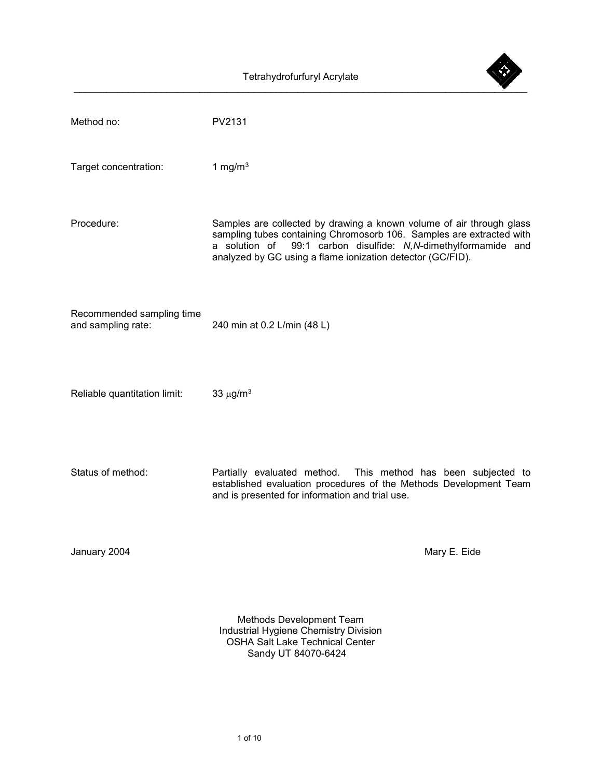

Tetrahydrofurfuryl Acrylate

| Method no:                                      | PV2131                                                                                                                                                                                                                                                                       |
|-------------------------------------------------|------------------------------------------------------------------------------------------------------------------------------------------------------------------------------------------------------------------------------------------------------------------------------|
| Target concentration:                           | 1 mg/m $3$                                                                                                                                                                                                                                                                   |
| Procedure:                                      | Samples are collected by drawing a known volume of air through glass<br>sampling tubes containing Chromosorb 106. Samples are extracted with<br>a solution of 99:1 carbon disulfide: N,N-dimethylformamide and<br>analyzed by GC using a flame ionization detector (GC/FID). |
| Recommended sampling time<br>and sampling rate: | 240 min at 0.2 L/min (48 L)                                                                                                                                                                                                                                                  |
| Reliable quantitation limit:                    | 33 $\mu$ g/m <sup>3</sup>                                                                                                                                                                                                                                                    |
| Status of method:                               | Partially evaluated method. This method has been subjected to<br>established evaluation procedures of the Methods Development Team<br>and is presented for information and trial use.                                                                                        |
| January 2004                                    | Mary E. Eide                                                                                                                                                                                                                                                                 |
|                                                 | Methods Development Team<br>Industrial Hygiene Chemistry Division<br><b>OSHA Salt Lake Technical Center</b><br>Sandy UT 84070-6424                                                                                                                                           |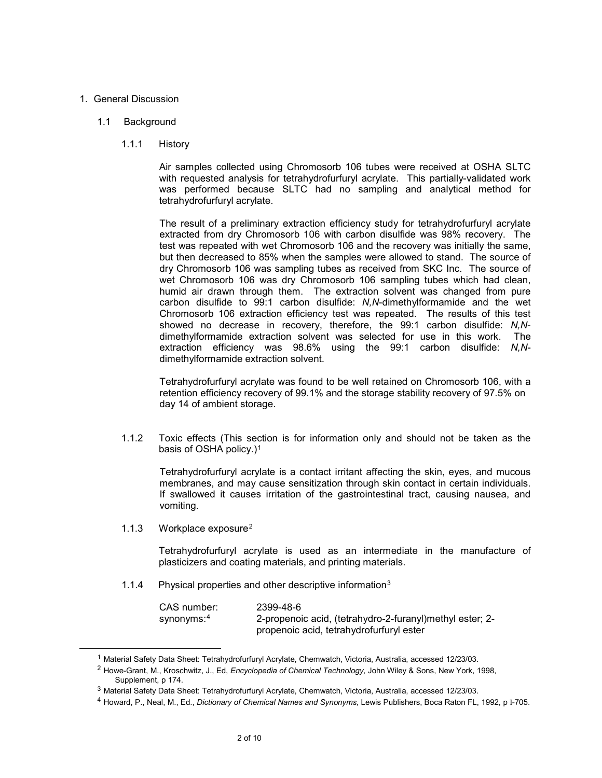### 1. General Discussion

- 1.1 Background
	- 1.1.1 History

Air samples collected using Chromosorb 106 tubes were received at OSHA SLTC with requested analysis for tetrahydrofurfuryl acrylate. This partially-validated work was performed because SLTC had no sampling and analytical method for tetrahydrofurfuryl acrylate.

The result of a preliminary extraction efficiency study for tetrahydrofurfuryl acrylate extracted from dry Chromosorb 106 with carbon disulfide was 98% recovery. The test was repeated with wet Chromosorb 106 and the recovery was initially the same, but then decreased to 85% when the samples were allowed to stand. The source of dry Chromosorb 106 was sampling tubes as received from SKC Inc. The source of wet Chromosorb 106 was dry Chromosorb 106 sampling tubes which had clean, humid air drawn through them. The extraction solvent was changed from pure carbon disulfide to 99:1 carbon disulfide: *N,N*-dimethylformamide and the wet Chromosorb 106 extraction efficiency test was repeated. The results of this test showed no decrease in recovery, therefore, the 99:1 carbon disulfide: *N,N*dimethylformamide extraction solvent was selected for use in this work. The extraction efficiency was 98.6% using the 99:1 carbon disulfide: *N,N*dimethylformamide extraction solvent.

Tetrahydrofurfuryl acrylate was found to be well retained on Chromosorb 106, with a retention efficiency recovery of 99.1% and the storage stability recovery of 97.5% on day 14 of ambient storage.

1.1.2 Toxic effects (This section is for information only and should not be taken as the basis of OSHA policy.)<sup>[1](#page-1-0)</sup>

Tetrahydrofurfuryl acrylate is a contact irritant affecting the skin, eyes, and mucous membranes, and may cause sensitization through skin contact in certain individuals. If swallowed it causes irritation of the gastrointestinal tract, causing nausea, and vomiting.

1.1.3 Workplace exposure[2](#page-1-1)

Tetrahydrofurfuryl acrylate is used as an intermediate in the manufacture of plasticizers and coating materials, and printing materials.

1.1.4 Physical properties and other descriptive information<sup>[3](#page-1-2)</sup>

| CAS number:            | 2399-48-6                                                |
|------------------------|----------------------------------------------------------|
| synonyms: <sup>4</sup> | 2-propenoic acid, (tetrahydro-2-furanyl)methyl ester; 2- |
|                        | propenoic acid, tetrahydrofurfuryl ester                 |

<span id="page-1-0"></span> <sup>1</sup> Material Safety Data Sheet: Tetrahydrofurfuryl Acrylate, Chemwatch, Victoria, Australia, accessed 12/23/03.

<span id="page-1-1"></span><sup>2</sup> Howe-Grant, M., Kroschwitz, J., Ed, *Encyclopedia of Chemical Technology,* John Wiley & Sons, New York, 1998, Supplement, p 174.

<span id="page-1-2"></span><sup>3</sup> Material Safety Data Sheet: Tetrahydrofurfuryl Acrylate, Chemwatch, Victoria, Australia, accessed 12/23/03.

<span id="page-1-3"></span><sup>4</sup> Howard, P., Neal, M., Ed., *Dictionary of Chemical Names and Synonyms,* Lewis Publishers, Boca Raton FL, 1992, p I-705.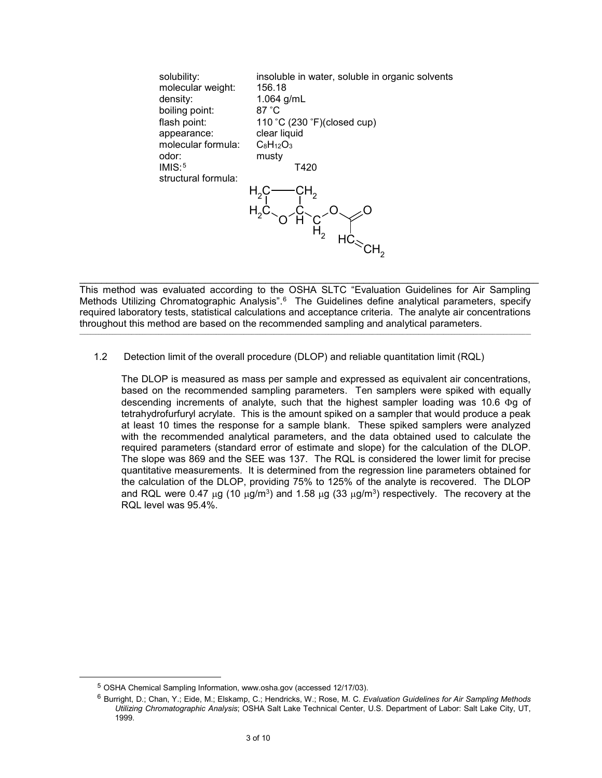

\_\_\_\_\_\_\_\_\_\_\_\_\_\_\_\_\_\_\_\_\_\_\_\_\_\_\_\_\_\_\_\_\_\_\_\_\_\_\_\_\_\_\_\_\_\_\_\_\_\_\_\_\_\_\_\_\_\_\_\_\_\_\_\_\_\_\_\_\_\_\_\_\_\_\_\_\_\_\_\_\_\_\_\_ This method was evaluated according to the OSHA SLTC "Evaluation Guidelines for Air Sampling Methods Utilizing Chromatographic Analysis".<sup>6</sup> The Guidelines define analytical parameters, specify required laboratory tests, statistical calculations and acceptance criteria. The analyte air concentrations throughout this method are based on the recommended sampling and analytical parameters.

1.2 Detection limit of the overall procedure (DLOP) and reliable quantitation limit (RQL)

The DLOP is measured as mass per sample and expressed as equivalent air concentrations, based on the recommended sampling parameters. Ten samplers were spiked with equally descending increments of analyte, such that the highest sampler loading was 10.6 Φg of tetrahydrofurfuryl acrylate. This is the amount spiked on a sampler that would produce a peak at least 10 times the response for a sample blank. These spiked samplers were analyzed with the recommended analytical parameters, and the data obtained used to calculate the required parameters (standard error of estimate and slope) for the calculation of the DLOP. The slope was 869 and the SEE was 137. The RQL is considered the lower limit for precise quantitative measurements. It is determined from the regression line parameters obtained for the calculation of the DLOP, providing 75% to 125% of the analyte is recovered. The DLOP and RQL were 0.47  $\mu$ g (10  $\mu$ g/m<sup>3</sup>) and 1.58  $\mu$ g (33  $\mu$ g/m<sup>3</sup>) respectively. The recovery at the RQL level was 95.4%.

<span id="page-2-0"></span> <sup>5</sup> OSHA Chemical Sampling Information, www.osha.gov (accessed 12/17/03).

<span id="page-2-1"></span><sup>6</sup> Burright, D.; Chan, Y.; Eide, M.; Elskamp, C.; Hendricks, W.; Rose, M. C. *Evaluation Guidelines for Air Sampling Methods Utilizing Chromatographic Analysis*; OSHA Salt Lake Technical Center, U.S. Department of Labor: Salt Lake City, UT, 1999.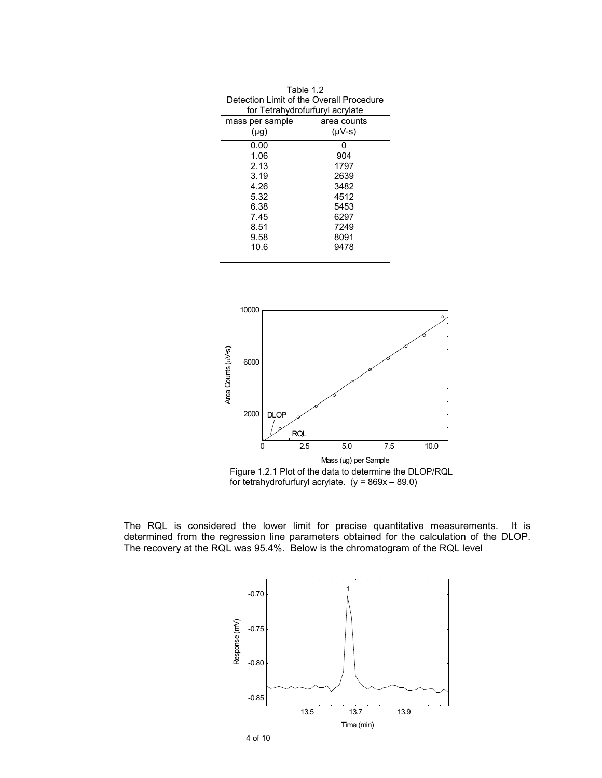| Detection Limit of the Overall Procedure |                                 |  |  |
|------------------------------------------|---------------------------------|--|--|
|                                          | for Tetrahydrofurfuryl acrylate |  |  |
| mass per sample                          | area counts                     |  |  |
| $(\mu g)$                                | $(U - s)$                       |  |  |
| 0.00                                     | O                               |  |  |
| 1.06                                     | 904                             |  |  |
| 2.13                                     | 1797                            |  |  |
| 3.19                                     | 2639                            |  |  |
| 4.26                                     | 3482                            |  |  |
| 5.32                                     | 4512                            |  |  |
| 6.38                                     | 5453                            |  |  |
| 7.45                                     | 6297                            |  |  |
| 8.51                                     | 7249                            |  |  |
| 9.58                                     | 8091                            |  |  |
| 10.6                                     | 9478                            |  |  |

Table 1.2



for tetrahydrofurfuryl acrylate. (y = 869x – 89.0)

The RQL is considered the lower limit for precise quantitative measurements. It is determined from the regression line parameters obtained for the calculation of the DLOP. The recovery at the RQL was 95.4%. Below is the chromatogram of the RQL level



4 of 10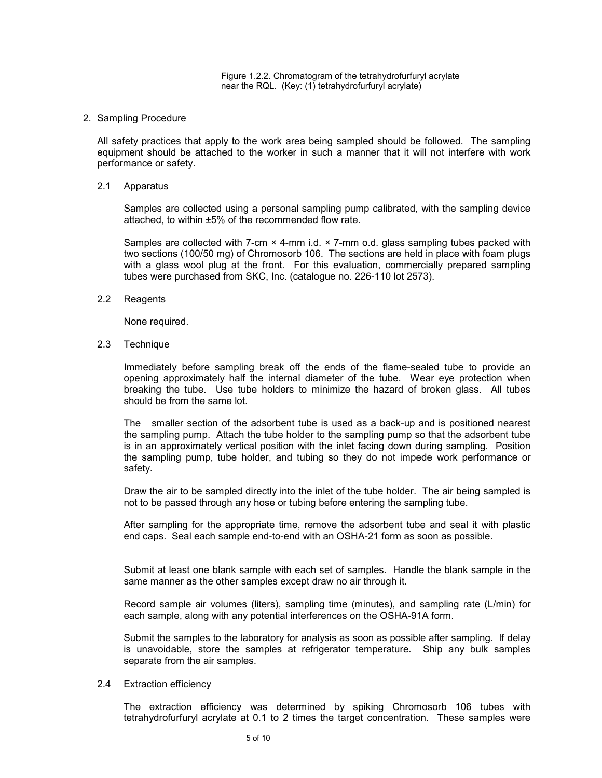Figure 1.2.2. Chromatogram of the tetrahydrofurfuryl acrylate near the RQL. (Key: (1) tetrahydrofurfuryl acrylate)

2. Sampling Procedure

All safety practices that apply to the work area being sampled should be followed. The sampling equipment should be attached to the worker in such a manner that it will not interfere with work performance or safety.

2.1 Apparatus

Samples are collected using a personal sampling pump calibrated, with the sampling device attached, to within ±5% of the recommended flow rate.

Samples are collected with 7-cm  $\times$  4-mm i.d.  $\times$  7-mm o.d. glass sampling tubes packed with two sections (100/50 mg) of Chromosorb 106. The sections are held in place with foam plugs with a glass wool plug at the front. For this evaluation, commercially prepared sampling tubes were purchased from SKC, Inc. (catalogue no. 226-110 lot 2573).

### 2.2 Reagents

None required.

2.3 Technique

Immediately before sampling break off the ends of the flame-sealed tube to provide an opening approximately half the internal diameter of the tube. Wear eye protection when breaking the tube. Use tube holders to minimize the hazard of broken glass. All tubes should be from the same lot.

The smaller section of the adsorbent tube is used as a back-up and is positioned nearest the sampling pump. Attach the tube holder to the sampling pump so that the adsorbent tube is in an approximately vertical position with the inlet facing down during sampling. Position the sampling pump, tube holder, and tubing so they do not impede work performance or safety.

Draw the air to be sampled directly into the inlet of the tube holder. The air being sampled is not to be passed through any hose or tubing before entering the sampling tube.

After sampling for the appropriate time, remove the adsorbent tube and seal it with plastic end caps. Seal each sample end-to-end with an OSHA-21 form as soon as possible.

Submit at least one blank sample with each set of samples. Handle the blank sample in the same manner as the other samples except draw no air through it.

Record sample air volumes (liters), sampling time (minutes), and sampling rate (L/min) for each sample, along with any potential interferences on the OSHA-91A form.

Submit the samples to the laboratory for analysis as soon as possible after sampling. If delay is unavoidable, store the samples at refrigerator temperature. Ship any bulk samples separate from the air samples.

# 2.4 Extraction efficiency

The extraction efficiency was determined by spiking Chromosorb 106 tubes with tetrahydrofurfuryl acrylate at 0.1 to 2 times the target concentration. These samples were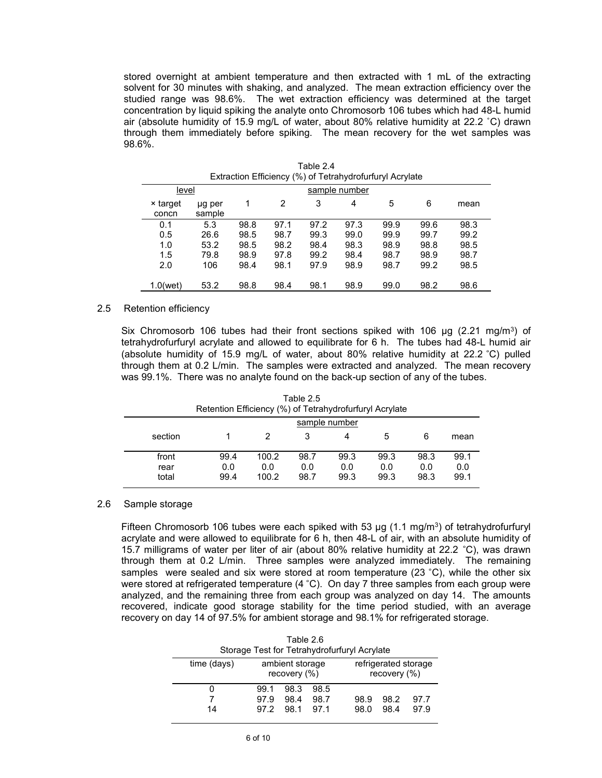stored overnight at ambient temperature and then extracted with 1 mL of the extracting solvent for 30 minutes with shaking, and analyzed. The mean extraction efficiency over the studied range was 98.6%. The wet extraction efficiency was determined at the target concentration by liquid spiking the analyte onto Chromosorb 106 tubes which had 48-L humid air (absolute humidity of 15.9 mg/L of water, about 80% relative humidity at 22.2 ˚C) drawn through them immediately before spiking. The mean recovery for the wet samples was 98.6%.

|                   |                  |      |      |      |               | Extraction Efficiency (%) of Tetranydrofurfuryl Acrylate |      |      |
|-------------------|------------------|------|------|------|---------------|----------------------------------------------------------|------|------|
| level             |                  |      |      |      | sample number |                                                          |      |      |
| × target<br>concn | ug per<br>sample | 1    | 2    | 3    | 4             | 5                                                        | 6    | mean |
| 0.1               | 5.3              | 98.8 | 97.1 | 97.2 | 97.3          | 99.9                                                     | 99.6 | 98.3 |
| 0.5               | 26.6             | 98.5 | 98.7 | 99.3 | 99.0          | 99.9                                                     | 99.7 | 99.2 |
| 1.0               | 53.2             | 98.5 | 98.2 | 98.4 | 98.3          | 98.9                                                     | 98.8 | 98.5 |
| 1.5               | 79.8             | 98.9 | 97.8 | 99.2 | 98.4          | 98.7                                                     | 98.9 | 98.7 |
| 2.0               | 106              | 98.4 | 98.1 | 97.9 | 98.9          | 98.7                                                     | 99.2 | 98.5 |
|                   |                  |      |      |      |               |                                                          |      |      |
| $1.0$ (wet)       | 53.2             | 98.8 | 98.4 | 98.1 | 98.9          | 99.0                                                     | 98.2 | 98.6 |

Table 2.4 Extraction Efficiency (%) of Tetrahydrofurfuryl Acrylate

### 2.5 Retention efficiency

Six Chromosorb 106 tubes had their front sections spiked with 106  $\mu$ g (2.21 mg/m<sup>3</sup>) of tetrahydrofurfuryl acrylate and allowed to equilibrate for 6 h. The tubes had 48-L humid air (absolute humidity of 15.9 mg/L of water, about 80% relative humidity at 22.2 ˚C) pulled through them at 0.2 L/min. The samples were extracted and analyzed. The mean recovery was 99.1%. There was no analyte found on the back-up section of any of the tubes.

|               | Retention Efficiency (%) of Tetrahydrofurfuryl Acrylate |              | Table 2.5     |             |             |             |             |
|---------------|---------------------------------------------------------|--------------|---------------|-------------|-------------|-------------|-------------|
|               |                                                         |              | sample number |             |             |             |             |
| section       |                                                         | 2            | 3             | 4           | 5           | 6           | mean        |
| front         | 99.4                                                    | 100.2        | 98.7          | 99.3        | 99.3        | 98.3        | 99.1        |
| rear<br>total | 0.0<br>99.4                                             | 0.0<br>100.2 | 0.0<br>98.7   | 0.0<br>99.3 | 0.0<br>99.3 | 0.0<br>98.3 | 0.0<br>99.1 |

#### 2.6 Sample storage

Fifteen Chromosorb 106 tubes were each spiked with 53  $\mu$ g (1.1 mg/m<sup>3</sup>) of tetrahydrofurfuryl acrylate and were allowed to equilibrate for 6 h, then 48-L of air, with an absolute humidity of 15.7 milligrams of water per liter of air (about 80% relative humidity at 22.2 ˚C), was drawn through them at 0.2 L/min. Three samples were analyzed immediately. The remaining samples were sealed and six were stored at room temperature (23 °C), while the other six were stored at refrigerated temperature (4 °C). On day 7 three samples from each group were analyzed, and the remaining three from each group was analyzed on day 14. The amounts recovered, indicate good storage stability for the time period studied, with an average recovery on day 14 of 97.5% for ambient storage and 98.1% for refrigerated storage.

| Table 2.6                                    |  |
|----------------------------------------------|--|
| Storage Test for Tetrahydrofurfuryl Acrylate |  |
|                                              |  |

| time (days) | ambient storage<br>recovery (%) |      |                 |      | refrigerated storage<br>recovery (%) |      |
|-------------|---------------------------------|------|-----------------|------|--------------------------------------|------|
|             | 99.1                            | 98.3 | 98.5            |      |                                      |      |
|             | 97.9                            | 98.4 | 98.7            | 98.9 | 98.2                                 | 97.7 |
| 14          | 972                             | 98.1 | 97 <sub>1</sub> | 98.0 | 984                                  | 97.9 |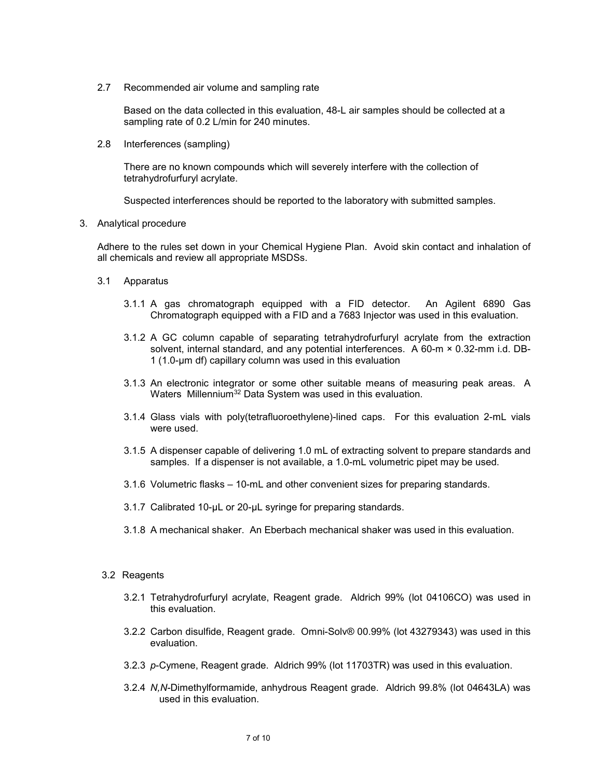2.7 Recommended air volume and sampling rate

Based on the data collected in this evaluation, 48-L air samples should be collected at a sampling rate of 0.2 L/min for 240 minutes.

2.8 Interferences (sampling)

There are no known compounds which will severely interfere with the collection of tetrahydrofurfuryl acrylate.

Suspected interferences should be reported to the laboratory with submitted samples.

3. Analytical procedure

Adhere to the rules set down in your Chemical Hygiene Plan. Avoid skin contact and inhalation of all chemicals and review all appropriate MSDSs.

- 3.1 Apparatus
	- 3.1.1 A gas chromatograph equipped with a FID detector. An Agilent 6890 Gas Chromatograph equipped with a FID and a 7683 Injector was used in this evaluation.
	- 3.1.2 A GC column capable of separating tetrahydrofurfuryl acrylate from the extraction solvent, internal standard, and any potential interferences. A 60-m × 0.32-mm i.d. DB-1 (1.0-μm df) capillary column was used in this evaluation
	- 3.1.3 An electronic integrator or some other suitable means of measuring peak areas. A Waters Millennium<sup>32</sup> Data System was used in this evaluation.
	- 3.1.4 Glass vials with poly(tetrafluoroethylene)-lined caps. For this evaluation 2-mL vials were used.
	- 3.1.5 A dispenser capable of delivering 1.0 mL of extracting solvent to prepare standards and samples. If a dispenser is not available, a 1.0-mL volumetric pipet may be used.
	- 3.1.6 Volumetric flasks 10-mL and other convenient sizes for preparing standards.
	- 3.1.7 Calibrated 10-μL or 20-μL syringe for preparing standards.
	- 3.1.8 A mechanical shaker. An Eberbach mechanical shaker was used in this evaluation.

## 3.2 Reagents

- 3.2.1 Tetrahydrofurfuryl acrylate, Reagent grade. Aldrich 99% (lot 04106CO) was used in this evaluation.
- 3.2.2 Carbon disulfide, Reagent grade. Omni-Solv® 00.99% (lot 43279343) was used in this evaluation.
- 3.2.3 *p*-Cymene, Reagent grade. Aldrich 99% (lot 11703TR) was used in this evaluation.
- 3.2.4 *N,N-*Dimethylformamide, anhydrous Reagent grade. Aldrich 99.8% (lot 04643LA) was used in this evaluation.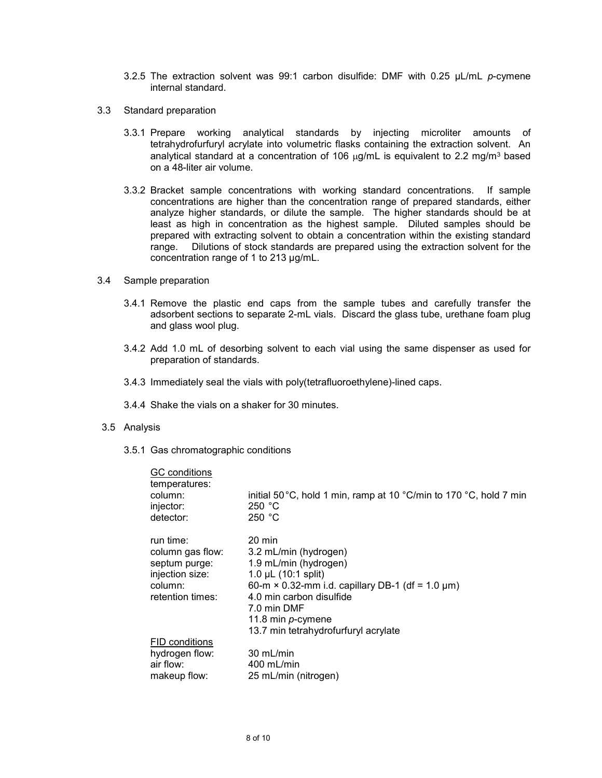- 3.2.5 The extraction solvent was 99:1 carbon disulfide: DMF with 0.25 μL/mL *p*-cymene internal standard.
- 3.3 Standard preparation
	- 3.3.1 Prepare working analytical standards by injecting microliter amounts of tetrahydrofurfuryl acrylate into volumetric flasks containing the extraction solvent. An analytical standard at a concentration of 106  $\mu$ g/mL is equivalent to 2.2 mg/m<sup>3</sup> based on a 48-liter air volume.
	- 3.3.2 Bracket sample concentrations with working standard concentrations. If sample concentrations are higher than the concentration range of prepared standards, either analyze higher standards, or dilute the sample. The higher standards should be at least as high in concentration as the highest sample. Diluted samples should be prepared with extracting solvent to obtain a concentration within the existing standard range. Dilutions of stock standards are prepared using the extraction solvent for the concentration range of 1 to 213 μg/mL.
- 3.4 Sample preparation
	- 3.4.1 Remove the plastic end caps from the sample tubes and carefully transfer the adsorbent sections to separate 2-mL vials. Discard the glass tube, urethane foam plug and glass wool plug.
	- 3.4.2 Add 1.0 mL of desorbing solvent to each vial using the same dispenser as used for preparation of standards.
	- 3.4.3 Immediately seal the vials with poly(tetrafluoroethylene)-lined caps.
	- 3.4.4 Shake the vials on a shaker for 30 minutes.
- 3.5 Analysis
	- 3.5.1 Gas chromatographic conditions

| GC conditions    |                                                                    |
|------------------|--------------------------------------------------------------------|
| temperatures:    |                                                                    |
| column:          | initial 50 °C, hold 1 min, ramp at 10 °C/min to 170 °C, hold 7 min |
| injector:        | 250 °C                                                             |
| detector:        | 250 °C                                                             |
| run time:        | $20 \text{ min}$                                                   |
| column gas flow: | 3.2 mL/min (hydrogen)                                              |
| septum purge:    | 1.9 mL/min (hydrogen)                                              |
| injection size:  | 1.0 µL (10:1 split)                                                |
| column:          | 60-m $\times$ 0.32-mm i.d. capillary DB-1 (df = 1.0 µm)            |
| retention times: | 4.0 min carbon disulfide                                           |
|                  | 7.0 min DMF                                                        |
|                  | 11.8 min <i>p</i> -cymene                                          |
|                  | 13.7 min tetrahydrofurfuryl acrylate                               |
| FID conditions   |                                                                    |
| hydrogen flow:   | 30 mL/min                                                          |
| air flow:        | $400$ mL/min                                                       |
| makeup flow:     | 25 mL/min (nitrogen)                                               |
|                  |                                                                    |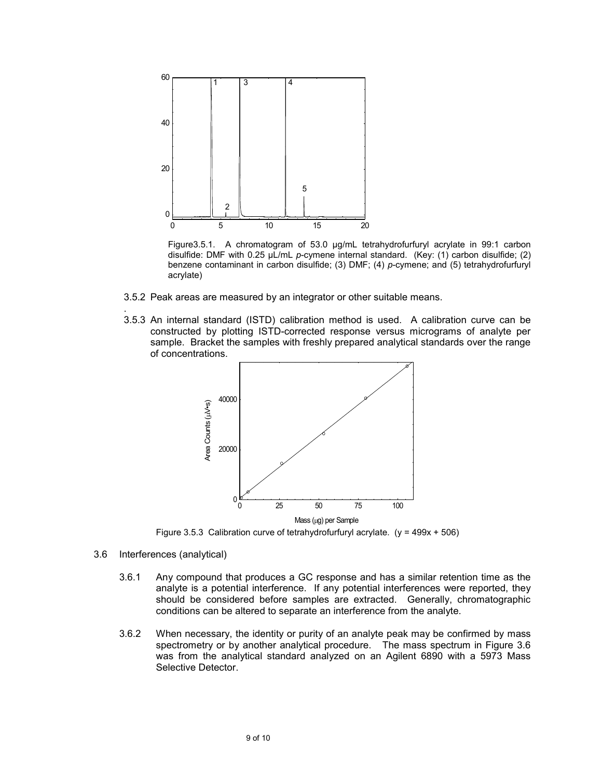

Figure3.5.1. A chromatogram of 53.0 μg/mL tetrahydrofurfuryl acrylate in 99:1 carbon disulfide: DMF with 0.25 μL/mL *p*-cymene internal standard. (Key: (1) carbon disulfide; (2) benzene contaminant in carbon disulfide; (3) DMF; (4) *p*-cymene; and (5) tetrahydrofurfuryl acrylate)

- 3.5.2 Peak areas are measured by an integrator or other suitable means.
- 3.5.3 An internal standard (ISTD) calibration method is used. A calibration curve can be constructed by plotting ISTD-corrected response versus micrograms of analyte per sample. Bracket the samples with freshly prepared analytical standards over the range of concentrations.



Figure 3.5.3 Calibration curve of tetrahydrofurfuryl acrylate.  $(y = 499x + 506)$ 

3.6 Interferences (analytical)

.

- 3.6.1 Any compound that produces a GC response and has a similar retention time as the analyte is a potential interference. If any potential interferences were reported, they should be considered before samples are extracted. Generally, chromatographic conditions can be altered to separate an interference from the analyte.
- 3.6.2 When necessary, the identity or purity of an analyte peak may be confirmed by mass spectrometry or by another analytical procedure. The mass spectrum in Figure 3.6 was from the analytical standard analyzed on an Agilent 6890 with a 5973 Mass Selective Detector.